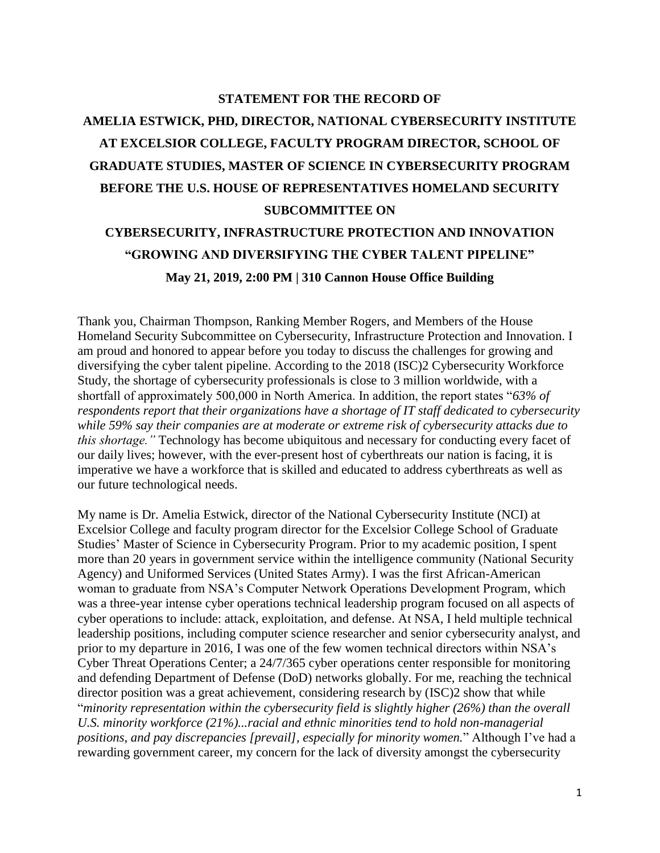# **STATEMENT FOR THE RECORD OF AMELIA ESTWICK, PHD, DIRECTOR, NATIONAL CYBERSECURITY INSTITUTE AT EXCELSIOR COLLEGE, FACULTY PROGRAM DIRECTOR, SCHOOL OF GRADUATE STUDIES, MASTER OF SCIENCE IN CYBERSECURITY PROGRAM BEFORE THE U.S. HOUSE OF REPRESENTATIVES HOMELAND SECURITY SUBCOMMITTEE ON**

# **CYBERSECURITY, INFRASTRUCTURE PROTECTION AND INNOVATION "GROWING AND DIVERSIFYING THE CYBER TALENT PIPELINE" May 21, 2019, 2:00 PM | 310 Cannon House Office Building**

Thank you, Chairman Thompson, Ranking Member Rogers, and Members of the House Homeland Security Subcommittee on Cybersecurity, Infrastructure Protection and Innovation. I am proud and honored to appear before you today to discuss the challenges for growing and diversifying the cyber talent pipeline. According to the 2018 (ISC)2 Cybersecurity Workforce Study, the shortage of cybersecurity professionals is close to 3 million worldwide, with a shortfall of approximately 500,000 in North America. In addition, the report states "*63% of respondents report that their organizations have a shortage of IT staff dedicated to cybersecurity while 59% say their companies are at moderate or extreme risk of cybersecurity attacks due to this shortage."* Technology has become ubiquitous and necessary for conducting every facet of our daily lives; however, with the ever-present host of cyberthreats our nation is facing, it is imperative we have a workforce that is skilled and educated to address cyberthreats as well as our future technological needs.

My name is Dr. Amelia Estwick, director of the National Cybersecurity Institute (NCI) at Excelsior College and faculty program director for the Excelsior College School of Graduate Studies' Master of Science in Cybersecurity Program. Prior to my academic position, I spent more than 20 years in government service within the intelligence community (National Security Agency) and Uniformed Services (United States Army). I was the first African-American woman to graduate from NSA's Computer Network Operations Development Program, which was a three-year intense cyber operations technical leadership program focused on all aspects of cyber operations to include: attack, exploitation, and defense. At NSA, I held multiple technical leadership positions, including computer science researcher and senior cybersecurity analyst, and prior to my departure in 2016, I was one of the few women technical directors within NSA's Cyber Threat Operations Center; a 24/7/365 cyber operations center responsible for monitoring and defending Department of Defense (DoD) networks globally. For me, reaching the technical director position was a great achievement, considering research by (ISC)2 show that while "*minority representation within the cybersecurity field is slightly higher (26%) than the overall U.S. minority workforce (21%)...racial and ethnic minorities tend to hold non-managerial positions, and pay discrepancies [prevail], especially for minority women.*" Although I've had a rewarding government career, my concern for the lack of diversity amongst the cybersecurity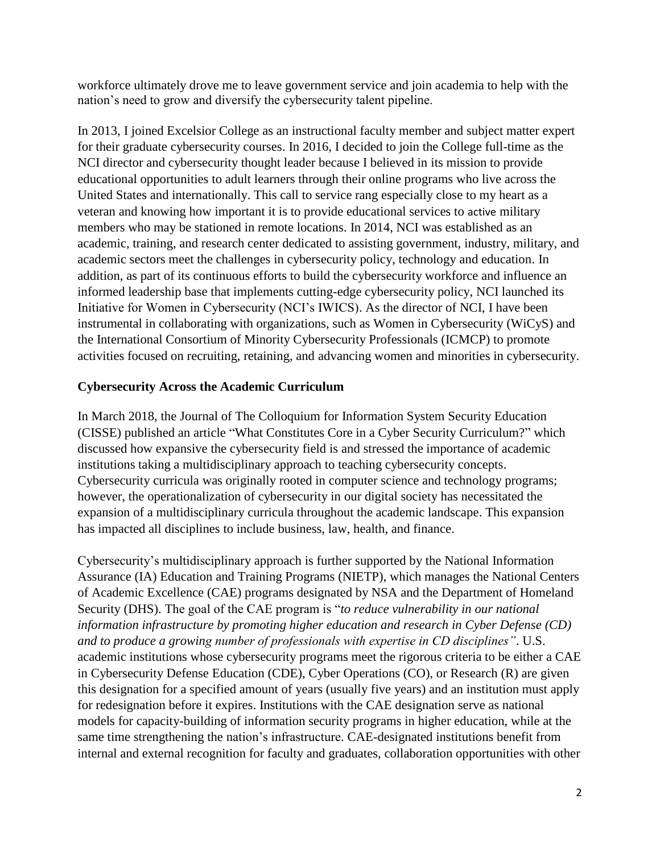workforce ultimately drove me to leave government service and join academia to help with the nation's need to grow and diversify the cybersecurity talent pipeline.

In 2013, I joined Excelsior College as an instructional faculty member and subject matter expert for their graduate cybersecurity courses. In 2016, I decided to join the College full-time as the NCI director and cybersecurity thought leader because I believed in its mission to provide educational opportunities to adult learners through their online programs who live across the United States and internationally. This call to service rang especially close to my heart as a veteran and knowing how important it is to provide educational services to active military members who may be stationed in remote locations. In 2014, NCI was established as an academic, training, and research center dedicated to assisting government, industry, military, and academic sectors meet the challenges in cybersecurity policy, technology and education. In addition, as part of its continuous efforts to build the cybersecurity workforce and influence an informed leadership base that implements cutting-edge cybersecurity policy, NCI launched its Initiative for Women in Cybersecurity (NCI's IWICS). As the director of NCI, I have been instrumental in collaborating with organizations, such as Women in Cybersecurity (WiCyS) and the International Consortium of Minority Cybersecurity Professionals (ICMCP) to promote activities focused on recruiting, retaining, and advancing women and minorities in cybersecurity.

#### **Cybersecurity Across the Academic Curriculum**

In March 2018, the Journal of The Colloquium for Information System Security Education (CISSE) published an article "What Constitutes Core in a Cyber Security Curriculum?" which discussed how expansive the cybersecurity field is and stressed the importance of academic institutions taking a multidisciplinary approach to teaching cybersecurity concepts. Cybersecurity curricula was originally rooted in computer science and technology programs; however, the operationalization of cybersecurity in our digital society has necessitated the expansion of a multidisciplinary curricula throughout the academic landscape. This expansion has impacted all disciplines to include business, law, health, and finance.

Cybersecurity's multidisciplinary approach is further supported by the National Information Assurance (IA) Education and Training Programs (NIETP), which manages the National Centers of Academic Excellence (CAE) programs designated by NSA and the Department of Homeland Security (DHS). The goal of the CAE program is "*to reduce vulnerability in our national information infrastructure by promoting higher education and research in Cyber Defense (CD) and to produce a growing number of professionals with expertise in CD disciplines"*. U.S. academic institutions whose cybersecurity programs meet the rigorous criteria to be either a CAE in Cybersecurity Defense Education (CDE), Cyber Operations (CO), or Research (R) are given this designation for a specified amount of years (usually five years) and an institution must apply for redesignation before it expires. Institutions with the CAE designation serve as national models for capacity-building of information security programs in higher education, while at the same time strengthening the nation's infrastructure. CAE-designated institutions benefit from internal and external recognition for faculty and graduates, collaboration opportunities with other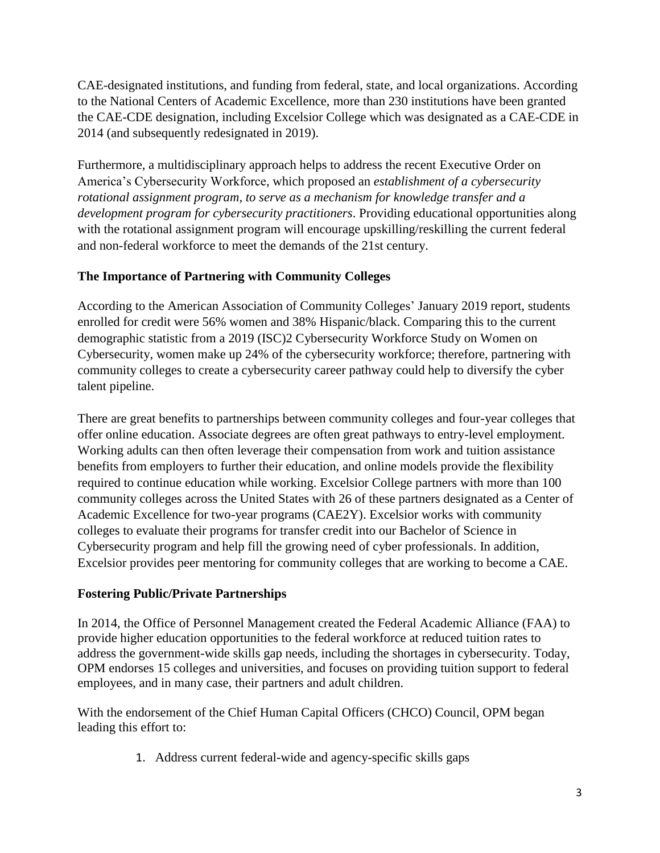CAE-designated institutions, and funding from federal, state, and local organizations. According to the National Centers of Academic Excellence, more than 230 institutions have been granted the CAE-CDE designation, including Excelsior College which was designated as a CAE-CDE in 2014 (and subsequently redesignated in 2019).

Furthermore, a multidisciplinary approach helps to address the recent Executive Order on America's Cybersecurity Workforce, which proposed an *establishment of a cybersecurity rotational assignment program, to serve as a mechanism for knowledge transfer and a development program for cybersecurity practitioners*. Providing educational opportunities along with the rotational assignment program will encourage upskilling/reskilling the current federal and non-federal workforce to meet the demands of the 21st century.

### **The Importance of Partnering with Community Colleges**

According to the American Association of Community Colleges' January 2019 report, students enrolled for credit were 56% women and 38% Hispanic/black. Comparing this to the current demographic statistic from a 2019 (ISC)2 Cybersecurity Workforce Study on Women on Cybersecurity, women make up 24% of the cybersecurity workforce; therefore, partnering with community colleges to create a cybersecurity career pathway could help to diversify the cyber talent pipeline.

There are great benefits to partnerships between community colleges and four-year colleges that offer online education. Associate degrees are often great pathways to entry-level employment. Working adults can then often leverage their compensation from work and tuition assistance benefits from employers to further their education, and online models provide the flexibility required to continue education while working. Excelsior College partners with more than 100 community colleges across the United States with 26 of these partners designated as a Center of Academic Excellence for two-year programs (CAE2Y). Excelsior works with community colleges to evaluate their programs for transfer credit into our Bachelor of Science in Cybersecurity program and help fill the growing need of cyber professionals. In addition, Excelsior provides peer mentoring for community colleges that are working to become a CAE.

#### **Fostering Public/Private Partnerships**

In 2014, the Office of Personnel Management created the Federal Academic Alliance (FAA) to provide higher education opportunities to the federal workforce at reduced tuition rates to address the government-wide skills gap needs, including the shortages in cybersecurity. Today, OPM endorses 15 colleges and universities, and focuses on providing tuition support to federal employees, and in many case, their partners and adult children.

With the endorsement of the Chief Human Capital Officers (CHCO) Council, OPM began leading this effort to:

1. Address current federal-wide and agency-specific skills gaps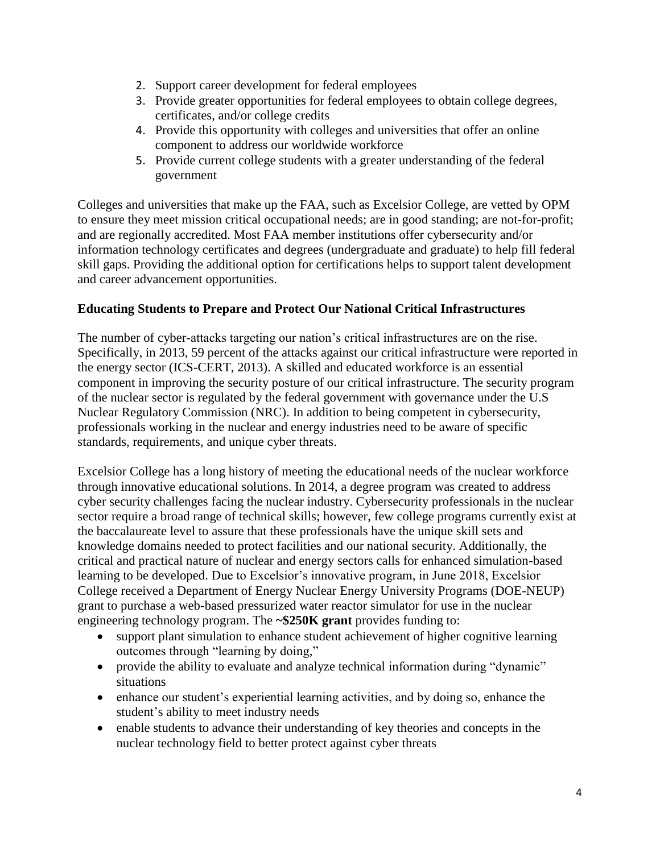- 2. Support career development for federal employees
- 3. Provide greater opportunities for federal employees to obtain college degrees, certificates, and/or college credits
- 4. Provide this opportunity with colleges and universities that offer an online component to address our worldwide workforce
- 5. Provide current college students with a greater understanding of the federal government

Colleges and universities that make up the FAA, such as Excelsior College, are vetted by OPM to ensure they meet mission critical occupational needs; are in good standing; are not-for-profit; and are regionally accredited. Most FAA member institutions offer cybersecurity and/or information technology certificates and degrees (undergraduate and graduate) to help fill federal skill gaps. Providing the additional option for certifications helps to support talent development and career advancement opportunities.

#### **Educating Students to Prepare and Protect Our National Critical Infrastructures**

The number of cyber-attacks targeting our nation's critical infrastructures are on the rise. Specifically, in 2013, 59 percent of the attacks against our critical infrastructure were reported in the energy sector (ICS-CERT, 2013). A skilled and educated workforce is an essential component in improving the security posture of our critical infrastructure. The security program of the nuclear sector is regulated by the federal government with governance under the U.S Nuclear Regulatory Commission (NRC). In addition to being competent in cybersecurity, professionals working in the nuclear and energy industries need to be aware of specific standards, requirements, and unique cyber threats.

Excelsior College has a long history of meeting the educational needs of the nuclear workforce through innovative educational solutions. In 2014, a degree program was created to address cyber security challenges facing the nuclear industry. Cybersecurity professionals in the nuclear sector require a broad range of technical skills; however, few college programs currently exist at the baccalaureate level to assure that these professionals have the unique skill sets and knowledge domains needed to protect facilities and our national security. Additionally, the critical and practical nature of nuclear and energy sectors calls for enhanced simulation-based learning to be developed. Due to Excelsior's innovative program, in June 2018, Excelsior College received a Department of Energy Nuclear Energy University Programs (DOE-NEUP) grant to purchase a web-based pressurized water reactor simulator for use in the nuclear engineering technology program. The **~\$250K grant** provides funding to:

- support plant simulation to enhance student achievement of higher cognitive learning outcomes through "learning by doing,"
- provide the ability to evaluate and analyze technical information during "dynamic" situations
- enhance our student's experiential learning activities, and by doing so, enhance the student's ability to meet industry needs
- enable students to advance their understanding of key theories and concepts in the nuclear technology field to better protect against cyber threats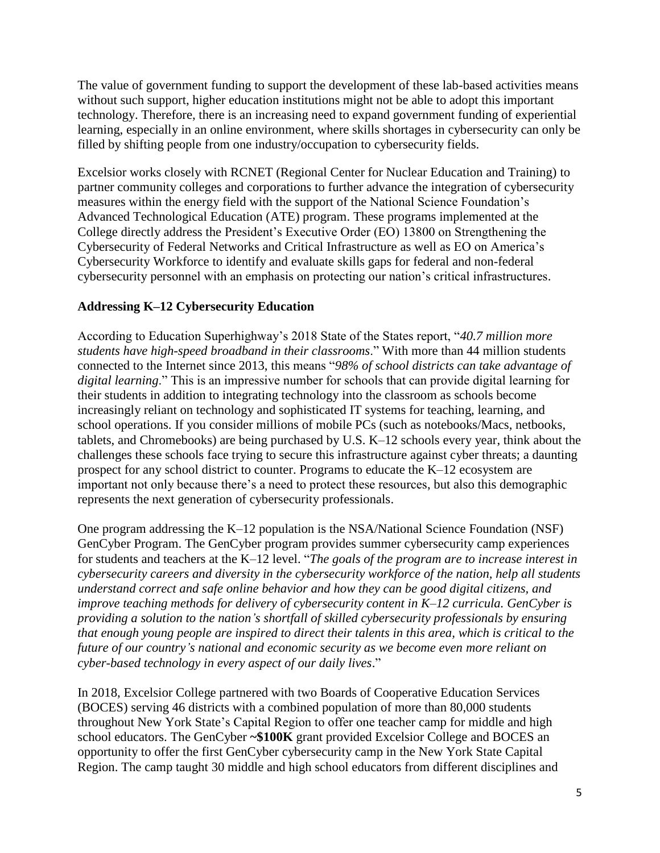The value of government funding to support the development of these lab-based activities means without such support, higher education institutions might not be able to adopt this important technology. Therefore, there is an increasing need to expand government funding of experiential learning, especially in an online environment, where skills shortages in cybersecurity can only be filled by shifting people from one industry/occupation to cybersecurity fields.

Excelsior works closely with RCNET (Regional Center for Nuclear Education and Training) to partner community colleges and corporations to further advance the integration of cybersecurity measures within the energy field with the support of the National Science Foundation's Advanced Technological Education (ATE) program. These programs implemented at the College directly address the President's Executive Order (EO) 13800 on Strengthening the Cybersecurity of Federal Networks and Critical Infrastructure as well as EO on America's Cybersecurity Workforce to identify and evaluate skills gaps for federal and non-federal cybersecurity personnel with an emphasis on protecting our nation's critical infrastructures.

#### **Addressing K–12 Cybersecurity Education**

According to Education Superhighway's 2018 State of the States report, "*40.7 million more students have high-speed broadband in their classrooms*." With more than 44 million students connected to the Internet since 2013, this means "*98% of school districts can take advantage of digital learning*." This is an impressive number for schools that can provide digital learning for their students in addition to integrating technology into the classroom as schools become increasingly reliant on technology and sophisticated IT systems for teaching, learning, and school operations. If you consider millions of mobile PCs (such as notebooks/Macs, netbooks, tablets, and Chromebooks) are being purchased by U.S. K–12 schools every year, think about the challenges these schools face trying to secure this infrastructure against cyber threats; a daunting prospect for any school district to counter. Programs to educate the K–12 ecosystem are important not only because there's a need to protect these resources, but also this demographic represents the next generation of cybersecurity professionals.

One program addressing the K–12 population is the NSA/National Science Foundation (NSF) GenCyber Program. The GenCyber program provides summer cybersecurity camp experiences for students and teachers at the K–12 level. "*The goals of the program are to increase interest in cybersecurity careers and diversity in the cybersecurity workforce of the nation, help all students understand correct and safe online behavior and how they can be good digital citizens, and improve teaching methods for delivery of cybersecurity content in K–12 curricula. GenCyber is providing a solution to the nation's shortfall of skilled cybersecurity professionals by ensuring that enough young people are inspired to direct their talents in this area, which is critical to the future of our country's national and economic security as we become even more reliant on cyber-based technology in every aspect of our daily lives*."

In 2018, Excelsior College partnered with two Boards of Cooperative Education Services (BOCES) serving 46 districts with a combined population of more than 80,000 students throughout New York State's Capital Region to offer one teacher camp for middle and high school educators. The GenCyber **~\$100K** grant provided Excelsior College and BOCES an opportunity to offer the first GenCyber cybersecurity camp in the New York State Capital Region. The camp taught 30 middle and high school educators from different disciplines and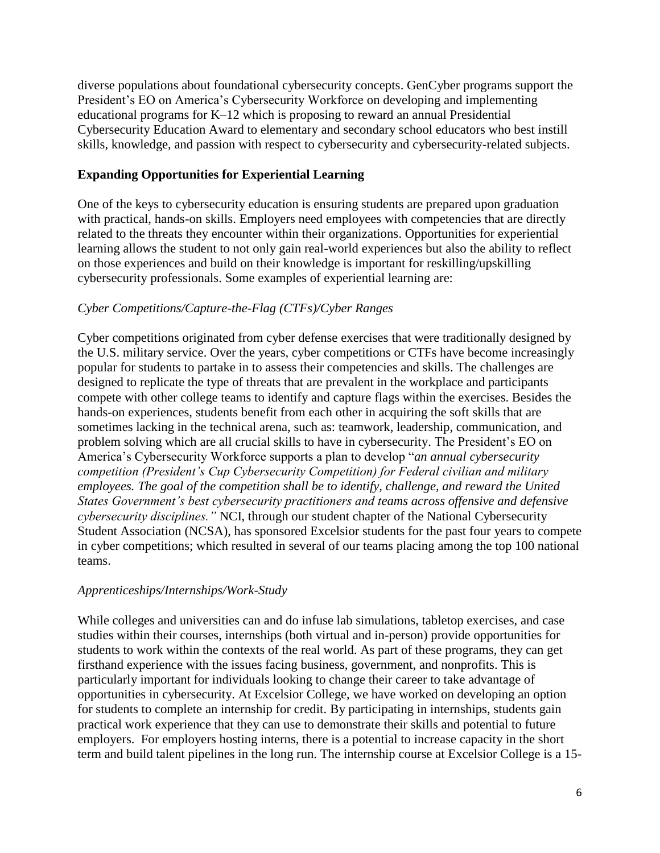diverse populations about foundational cybersecurity concepts. GenCyber programs support the President's EO on America's Cybersecurity Workforce on developing and implementing educational programs for K–12 which is proposing to reward an annual Presidential Cybersecurity Education Award to elementary and secondary school educators who best instill skills, knowledge, and passion with respect to cybersecurity and cybersecurity-related subjects.

#### **Expanding Opportunities for Experiential Learning**

One of the keys to cybersecurity education is ensuring students are prepared upon graduation with practical, hands-on skills. Employers need employees with competencies that are directly related to the threats they encounter within their organizations. Opportunities for experiential learning allows the student to not only gain real-world experiences but also the ability to reflect on those experiences and build on their knowledge is important for reskilling/upskilling cybersecurity professionals. Some examples of experiential learning are:

#### *Cyber Competitions/Capture-the-Flag (CTFs)/Cyber Ranges*

Cyber competitions originated from cyber defense exercises that were traditionally designed by the U.S. military service. Over the years, cyber competitions or CTFs have become increasingly popular for students to partake in to assess their competencies and skills. The challenges are designed to replicate the type of threats that are prevalent in the workplace and participants compete with other college teams to identify and capture flags within the exercises. Besides the hands-on experiences, students benefit from each other in acquiring the soft skills that are sometimes lacking in the technical arena, such as: teamwork, leadership, communication, and problem solving which are all crucial skills to have in cybersecurity. The President's EO on America's Cybersecurity Workforce supports a plan to develop "*an annual cybersecurity competition (President's Cup Cybersecurity Competition) for Federal civilian and military employees. The goal of the competition shall be to identify, challenge, and reward the United States Government's best cybersecurity practitioners and teams across offensive and defensive cybersecurity disciplines."* NCI, through our student chapter of the National Cybersecurity Student Association (NCSA), has sponsored Excelsior students for the past four years to compete in cyber competitions; which resulted in several of our teams placing among the top 100 national teams.

#### *Apprenticeships/Internships/Work-Study*

While colleges and universities can and do infuse lab simulations, tabletop exercises, and case studies within their courses, internships (both virtual and in-person) provide opportunities for students to work within the contexts of the real world. As part of these programs, they can get firsthand experience with the issues facing business, government, and nonprofits. This is particularly important for individuals looking to change their career to take advantage of opportunities in cybersecurity. At Excelsior College, we have worked on developing an option for students to complete an internship for credit. By participating in internships, students gain practical work experience that they can use to demonstrate their skills and potential to future employers. For employers hosting interns, there is a potential to increase capacity in the short term and build talent pipelines in the long run. The internship course at Excelsior College is a 15